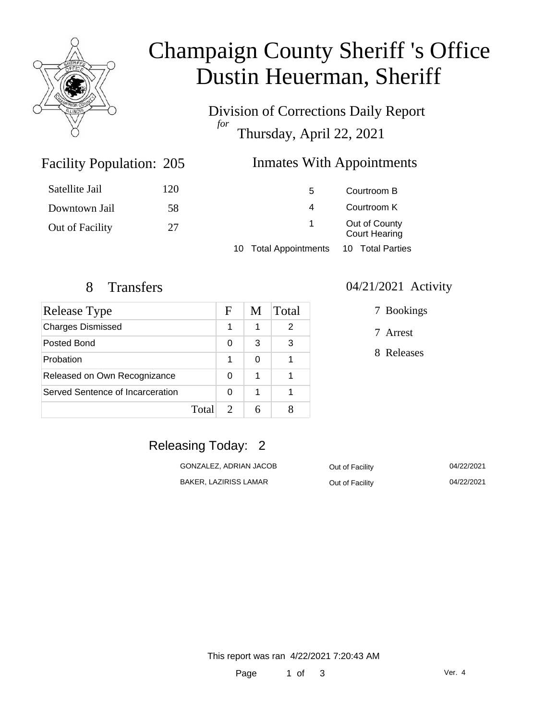

# Champaign County Sheriff 's Office Dustin Heuerman, Sheriff

Division of Corrections Daily Report *for* Thursday, April 22, 2021

### Inmates With Appointments

| Satellite Jail  | 120 | 5                     | Courtroom B                           |  |
|-----------------|-----|-----------------------|---------------------------------------|--|
| Downtown Jail   | 58  | 4                     | Courtroom K                           |  |
| Out of Facility | 27  | $\mathbf{1}$          | Out of County<br><b>Court Hearing</b> |  |
|                 |     | 10 Total Appointments | 10 Total Parties                      |  |

Facility Population: 205

| Release Type                     |       | F | M | Total |
|----------------------------------|-------|---|---|-------|
| <b>Charges Dismissed</b>         |       | 1 | 1 | 2     |
| Posted Bond                      |       | 0 | 3 | 3     |
| Probation                        |       | 1 | 0 |       |
| Released on Own Recognizance     |       | 0 | 1 |       |
| Served Sentence of Incarceration |       | O | 1 |       |
|                                  | Total |   |   |       |

#### 8 Transfers 04/21/2021 Activity

7 Arrest

8 Releases

## Releasing Today: 2

| GONZALEZ, ADRIAN JACOB | Out of Facility | 04/22/2021 |
|------------------------|-----------------|------------|
| BAKER. LAZIRISS LAMAR  | Out of Facility | 04/22/2021 |

This report was ran 4/22/2021 7:20:43 AM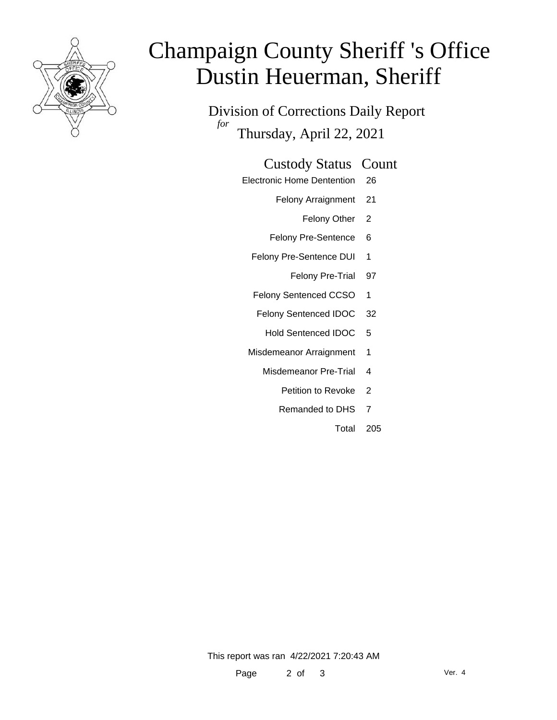

# Champaign County Sheriff 's Office Dustin Heuerman, Sheriff

Division of Corrections Daily Report *for* Thursday, April 22, 2021

#### Custody Status Count

- Electronic Home Dentention 26
	- Felony Arraignment 21
		- Felony Other 2
	- Felony Pre-Sentence 6
	- Felony Pre-Sentence DUI 1
		- Felony Pre-Trial 97
	- Felony Sentenced CCSO 1
	- Felony Sentenced IDOC 32
		- Hold Sentenced IDOC 5
	- Misdemeanor Arraignment 1
		- Misdemeanor Pre-Trial 4
			- Petition to Revoke 2
			- Remanded to DHS 7
				- Total 205

This report was ran 4/22/2021 7:20:43 AM